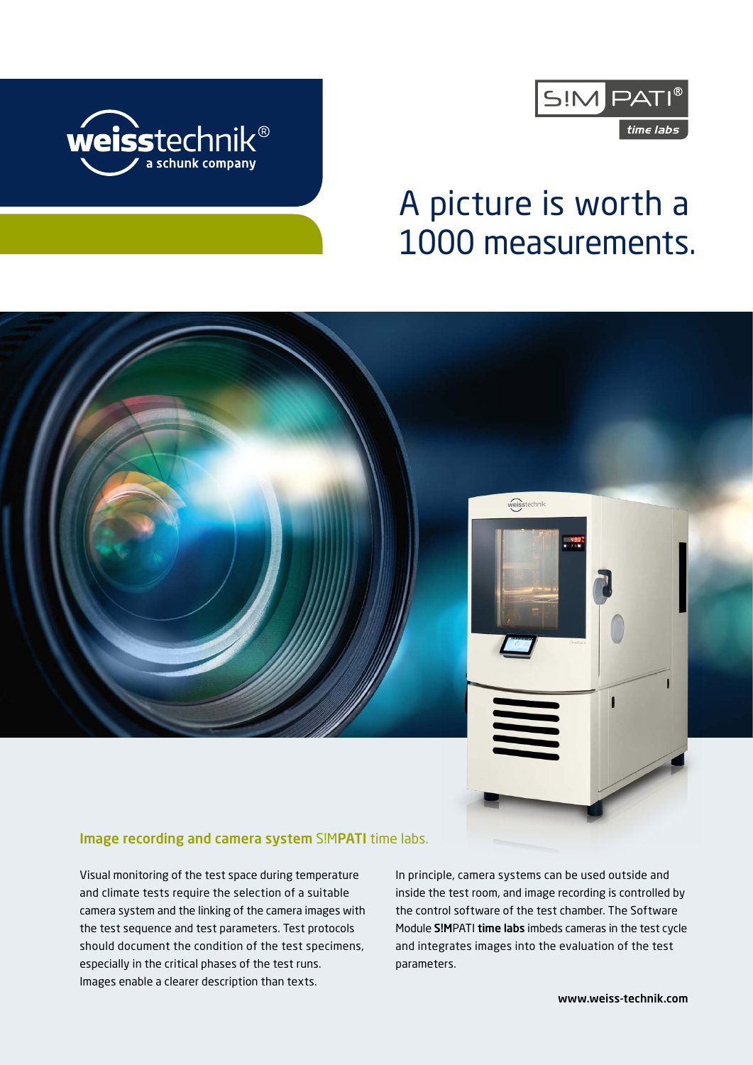



# A picture is worth a 1000 measurements.

# weisstechnik

### Image recording and camera system S!MPATI time labs.

Visual monitoring of the test space during temperature and climate tests require the selection of a suitable camera system and the linking of the camera images with the test sequence and test parameters. Test protocols should document the condition of the test specimens, especially in the critical phases of the test runs. Images enable a clearer description than texts.

In principle, camera systems can be used outside and inside the test room, and image recording is controlled by the control software of the test chamber. The Software Module S!MPATI time labs imbeds cameras in the test cycle and integrates images into the evaluation of the test parameters.